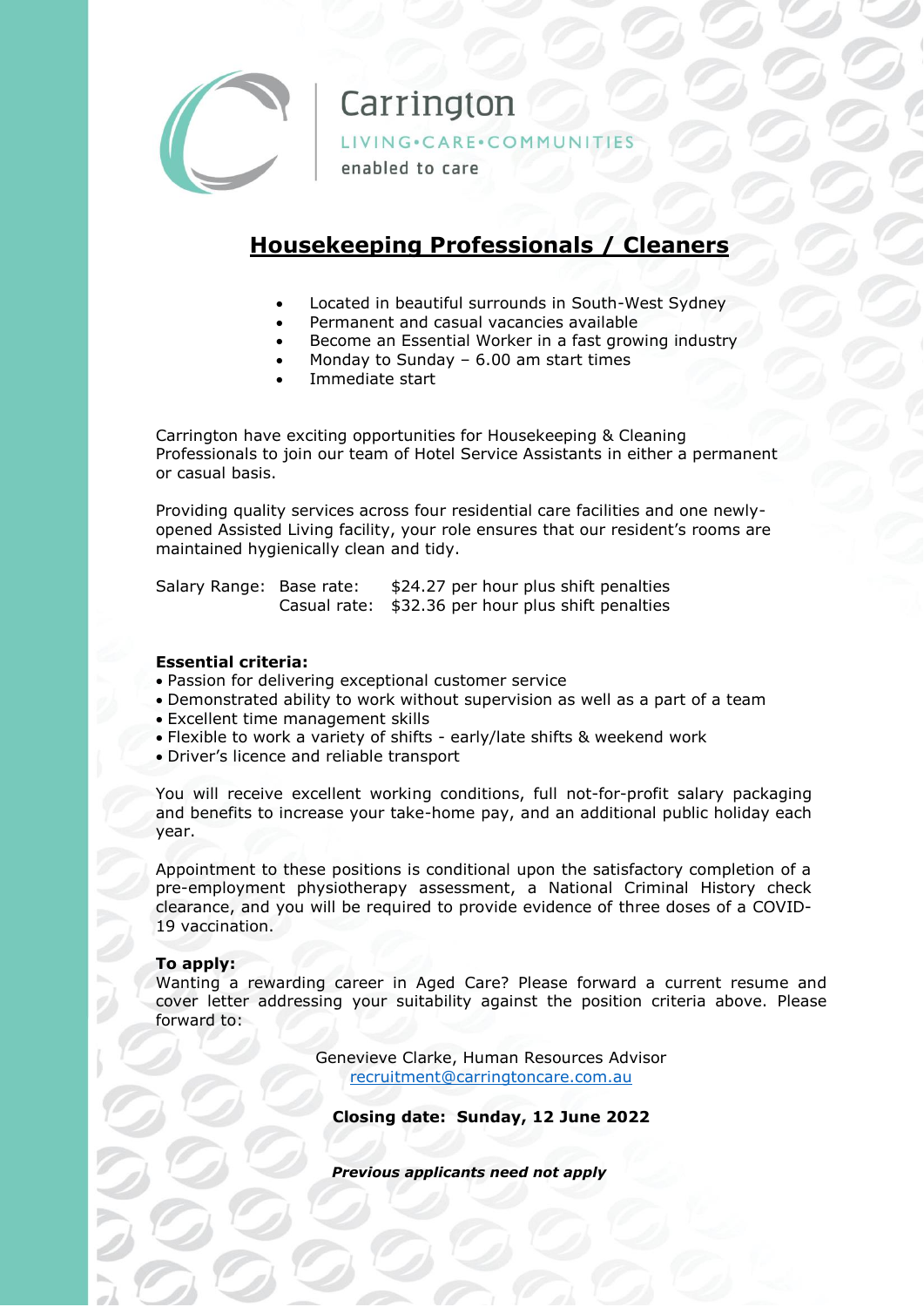

## Carrington

LIVING·CARE·COMMUNITIES

enabled to care

### **Housekeeping Professionals / Cleaners**

- Located in beautiful surrounds in South-West Sydney
- Permanent and casual vacancies available
- Become an Essential Worker in a fast growing industry
- Monday to Sunday  $-6.00$  am start times
- Immediate start

Carrington have exciting opportunities for Housekeeping & Cleaning Professionals to join our team of Hotel Service Assistants in either a permanent or casual basis.

Providing quality services across four residential care facilities and one newlyopened Assisted Living facility, your role ensures that our resident's rooms are maintained hygienically clean and tidy.

Salary Range: Base rate: \$24.27 per hour plus shift penalties Casual rate: \$32.36 per hour plus shift penalties

#### **Essential criteria:**

- Passion for delivering exceptional customer service
- Demonstrated ability to work without supervision as well as a part of a team
- Excellent time management skills
- Flexible to work a variety of shifts early/late shifts & weekend work
- Driver's licence and reliable transport

You will receive excellent working conditions, full not-for-profit salary packaging and benefits to increase your take-home pay, and an additional public holiday each year.

Appointment to these positions is conditional upon the satisfactory completion of a pre-employment physiotherapy assessment, a National Criminal History check clearance, and you will be required to provide evidence of three doses of a COVID-19 vaccination.

#### **To apply:**

Wanting a rewarding career in Aged Care? Please forward a current resume and cover letter addressing your suitability against the position criteria above. Please forward to:

> Genevieve Clarke, Human Resources Advisor [recruitment@carringtoncare.com.au](mailto:recruitment@carringtoncare.com.au)

**Closing date: Sunday, 12 June 2022**

*Previous applicants need not apply*